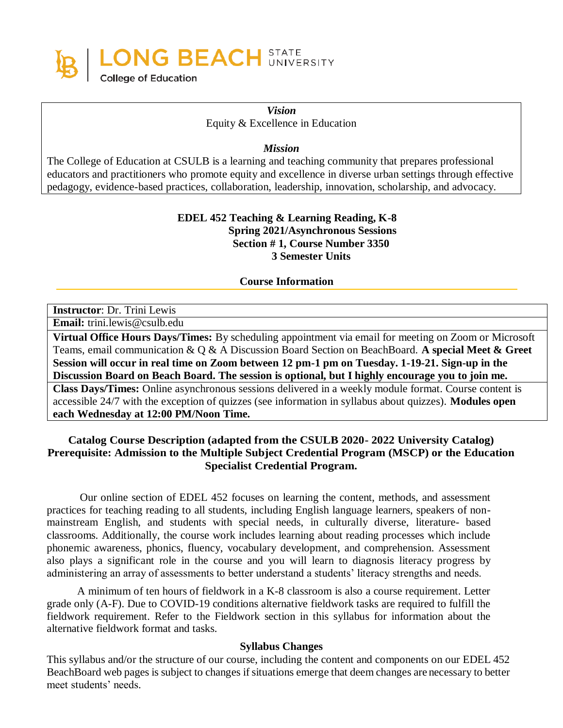

*Vision* Equity & Excellence in Education

*Mission*

The College of Education at CSULB is a learning and teaching community that prepares professional educators and practitioners who promote equity and excellence in diverse urban settings through effective pedagogy, evidence-based practices, collaboration, leadership, innovation, scholarship, and advocacy.

### **EDEL 452 Teaching & Learning Reading, K-8 Spring 2021/Asynchronous Sessions Section # 1, Course Number 3350 3 Semester Units**

**Course Information**

**Instructor**: Dr. Trini Lewis

**Email:** [trini.lewis@csulb.edu](mailto:trini.lewis@csulb.edu)

**Virtual Office Hours Days/Times:** By scheduling appointment via email for meeting on Zoom or Microsoft Teams, email communication & Q & A Discussion Board Section on BeachBoard. **A special Meet & Greet Session will occur in real time on Zoom between 12 pm-1 pm on Tuesday. 1-19-21. Sign-up in the Discussion Board on Beach Board. The session is optional, but I highly encourage you to join me. Class Days/Times:** Online asynchronous sessions delivered in a weekly module format. Course content is accessible 24/7 with the exception of quizzes (see information in syllabus about quizzes). **Modules open each Wednesday at 12:00 PM/Noon Time.**

### **Catalog Course Description (adapted from the CSULB 2020- 2022 University Catalog) Prerequisite: Admission to the Multiple Subject Credential Program (MSCP) or the Education Specialist Credential Program.**

Our online section of EDEL 452 focuses on learning the content, methods, and assessment practices for teaching reading to all students, including English language learners, speakers of nonmainstream English, and students with special needs, in culturally diverse, literature- based classrooms. Additionally, the course work includes learning about reading processes which include phonemic awareness, phonics, fluency, vocabulary development, and comprehension. Assessment also plays a significant role in the course and you will learn to diagnosis literacy progress by administering an array of assessments to better understand a students' literacy strengths and needs.

A minimum of ten hours of fieldwork in a K-8 classroom is also a course requirement. Letter grade only (A-F). Due to COVID-19 conditions alternative fieldwork tasks are required to fulfill the fieldwork requirement. Refer to the Fieldwork section in this syllabus for information about the alternative fieldwork format and tasks.

#### **Syllabus Changes**

This syllabus and/or the structure of our course, including the content and components on our EDEL 452 BeachBoard web pages is subject to changes if situations emerge that deem changes are necessary to better meet students' needs.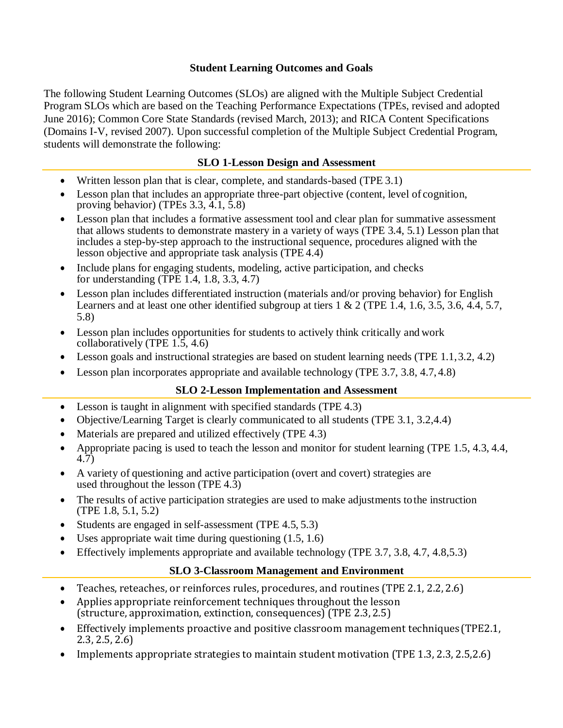### **Student Learning Outcomes and Goals**

The following Student Learning Outcomes (SLOs) are aligned with the Multiple Subject Credential Program SLOs which are based on the Teaching Performance Expectations (TPEs, revised and adopted June 2016); Common Core State Standards (revised March, 2013); and RICA Content Specifications (Domains I-V, revised 2007). Upon successful completion of the Multiple Subject Credential Program, students will demonstrate the following:

### **SLO 1-Lesson Design and Assessment**

- Written lesson plan that is clear, complete, and standards-based (TPE 3.1)
- Lesson plan that includes an appropriate three-part objective (content, level of cognition, proving behavior) (TPEs 3.3, 4.1, 5.8)
- Lesson plan that includes a formative assessment tool and clear plan for summative assessment that allows students to demonstrate mastery in a variety of ways (TPE 3.4, 5.1) Lesson plan that includes a step-by-step approach to the instructional sequence, procedures aligned with the lesson objective and appropriate task analysis (TPE 4.4)
- Include plans for engaging students, modeling, active participation, and checks for understanding (TPE 1.4, 1.8, 3.3, 4.7)
- Lesson plan includes differentiated instruction (materials and/or proving behavior) for English Learners and at least one other identified subgroup at tiers 1 & 2 (TPE 1.4, 1.6, 3.5, 3.6, 4.4, 5.7, 5.8)
- Lesson plan includes opportunities for students to actively think critically and work collaboratively (TPE 1.5, 4.6)
- Lesson goals and instructional strategies are based on student learning needs (TPE 1.1,3.2, 4.2)
- Lesson plan incorporates appropriate and available technology (TPE 3.7, 3.8, 4.7, 4.8)

# **SLO 2-Lesson Implementation and Assessment**

- Lesson is taught in alignment with specified standards (TPE 4.3)
- Objective/Learning Target is clearly communicated to all students (TPE 3.1, 3.2,4.4)
- Materials are prepared and utilized effectively (TPE 4.3)
- Appropriate pacing is used to teach the lesson and monitor for student learning (TPE 1.5, 4.3, 4.4, 4.7)
- A variety of questioning and active participation (overt and covert) strategies are used throughout the lesson (TPE 4.3)
- The results of active participation strategies are used to make adjustments to the instruction (TPE 1.8, 5.1, 5.2)
- Students are engaged in self-assessment (TPE 4.5, 5.3)
- Uses appropriate wait time during questioning  $(1.5, 1.6)$
- Effectively implements appropriate and available technology (TPE 3.7, 3.8, 4.7, 4.8, 5.3)

# **SLO 3-Classroom Management and Environment**

- Teaches, reteaches, or reinforces rules, procedures, and routines (TPE 2.1, 2.2, 2.6)
- Applies appropriate reinforcement techniques throughout the lesson (structure, approximation, extinction, consequences) (TPE 2.3,2.5)
- Effectively implements proactive and positive classroom management techniques (TPE2.1, 2.3, 2.5, 2.6)
- Implements appropriate strategies to maintain student motivation (TPE 1.3, 2.3, 2.5, 2.6)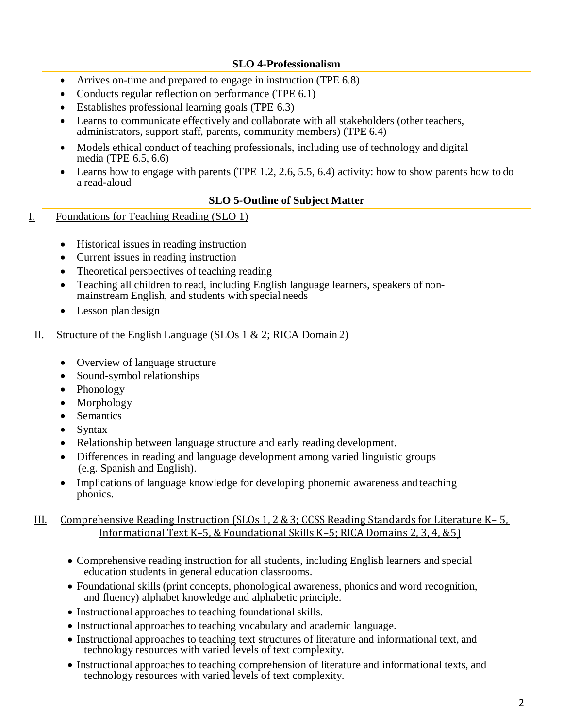### **SLO 4-Professionalism**

- Arrives on-time and prepared to engage in instruction (TPE 6.8)
- Conducts regular reflection on performance (TPE 6.1)
- Establishes professional learning goals (TPE 6.3)
- Learns to communicate effectively and collaborate with all stakeholders (other teachers, administrators, support staff, parents, community members) (TPE 6.4)
- Models ethical conduct of teaching professionals, including use of technology and digital media (TPE 6.5, 6.6)
- Learns how to engage with parents (TPE 1.2, 2.6, 5.5, 6.4) activity: how to show parents how to do a read-aloud

#### **SLO 5-Outline of Subject Matter**

- I. Foundations for Teaching Reading (SLO 1)
	- Historical issues in reading instruction
	- Current issues in reading instruction
	- Theoretical perspectives of teaching reading
	- Teaching all children to read, including English language learners, speakers of nonmainstream English, and students with special needs
	- Lesson plan design

#### II. Structure of the English Language (SLOs 1  $\&$  2; RICA Domain 2)

- Overview of language structure
- Sound-symbol relationships
- Phonology
- Morphology
- Semantics
- **Syntax**
- Relationship between language structure and early reading development.
- Differences in reading and language development among varied linguistic groups (e.g. Spanish and English).
- Implications of language knowledge for developing phonemic awareness and teaching phonics.

#### III. Comprehensive Reading Instruction (SLOs 1, 2 & 3; CCSS Reading Standards for Literature K– 5, Informational Text K–5, & Foundational Skills K–5; RICA Domains 2, 3, 4, &5)

- Comprehensive reading instruction for all students, including English learners and special education students in general education classrooms.
- Foundational skills (print concepts, phonological awareness, phonics and word recognition, and fluency) alphabet knowledge and alphabetic principle.
- Instructional approaches to teaching foundational skills.
- Instructional approaches to teaching vocabulary and academic language.
- Instructional approaches to teaching text structures of literature and informational text, and technology resources with varied levels of text complexity.
- Instructional approaches to teaching comprehension of literature and informational texts, and technology resources with varied levels of text complexity.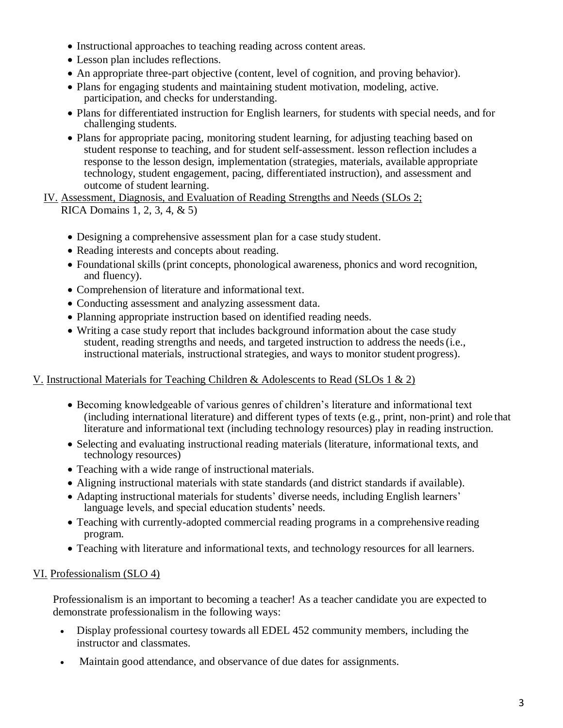- Instructional approaches to teaching reading across content areas.
- Lesson plan includes reflections.
- An appropriate three-part objective (content, level of cognition, and proving behavior).
- Plans for engaging students and maintaining student motivation, modeling, active. participation, and checks for understanding.
- Plans for differentiated instruction for English learners, for students with special needs, and for challenging students.
- Plans for appropriate pacing, monitoring student learning, for adjusting teaching based on student response to teaching, and for student self-assessment. lesson reflection includes a response to the lesson design, implementation (strategies, materials, available appropriate technology, student engagement, pacing, differentiated instruction), and assessment and outcome of student learning.

IV. Assessment, Diagnosis, and Evaluation of Reading Strengths and Needs (SLOs 2; RICA Domains 1, 2, 3, 4, & 5)

- Designing a comprehensive assessment plan for a case study student.
- Reading interests and concepts about reading.
- Foundational skills (print concepts, phonological awareness, phonics and word recognition, and fluency).
- Comprehension of literature and informational text.
- Conducting assessment and analyzing assessment data.
- Planning appropriate instruction based on identified reading needs.
- Writing a case study report that includes background information about the case study student, reading strengths and needs, and targeted instruction to address the needs(i.e., instructional materials, instructional strategies, and ways to monitor student progress).

### V. Instructional Materials for Teaching Children & Adolescents to Read (SLOs 1 & 2)

- Becoming knowledgeable of various genres of children's literature and informational text (including international literature) and different types of texts (e.g., print, non-print) and role that literature and informational text (including technology resources) play in reading instruction.
- Selecting and evaluating instructional reading materials (literature, informational texts, and technology resources)
- Teaching with a wide range of instructional materials.
- Aligning instructional materials with state standards (and district standards if available).
- Adapting instructional materials for students' diverse needs, including English learners' language levels, and special education students' needs.
- Teaching with currently-adopted commercial reading programs in a comprehensive reading program.
- Teaching with literature and informational texts, and technology resources for all learners.

# VI. Professionalism (SLO 4)

Professionalism is an important to becoming a teacher! As a teacher candidate you are expected to demonstrate professionalism in the following ways:

- Display professional courtesy towards all EDEL 452 community members, including the instructor and classmates.
- Maintain good attendance, and observance of due dates for assignments.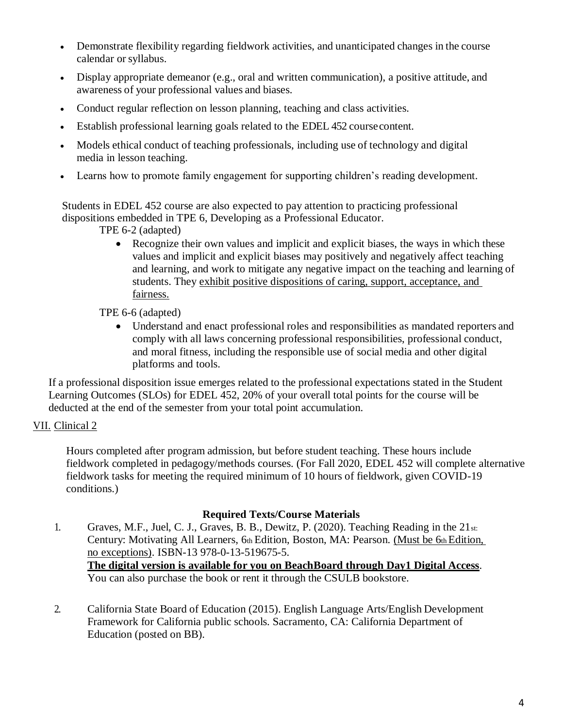- Demonstrate flexibility regarding fieldwork activities, and unanticipated changes in the course calendar orsyllabus.
- Display appropriate demeanor (e.g., oral and written communication), a positive attitude, and awareness of your professional values and biases.
- Conduct regular reflection on lesson planning, teaching and class activities.
- Establish professional learning goals related to the EDEL 452 coursecontent.
- Models ethical conduct of teaching professionals, including use of technology and digital media in lesson teaching.
- Learns how to promote family engagement for supporting children's reading development.

Students in EDEL 452 course are also expected to pay attention to practicing professional dispositions embedded in TPE 6, Developing as a Professional Educator.

TPE 6-2 (adapted)

• Recognize their own values and implicit and explicit biases, the ways in which these values and implicit and explicit biases may positively and negatively affect teaching and learning, and work to mitigate any negative impact on the teaching and learning of students. They exhibit positive dispositions of caring, support, acceptance, and fairness.

TPE 6-6 (adapted)

• Understand and enact professional roles and responsibilities as mandated reporters and comply with all laws concerning professional responsibilities, professional conduct, and moral fitness, including the responsible use of social media and other digital platforms and tools.

If a professional disposition issue emerges related to the professional expectations stated in the Student Learning Outcomes (SLOs) for EDEL 452, 20% of your overall total points for the course will be deducted at the end of the semester from your total point accumulation.

# VII. Clinical 2

Hours completed after program admission, but before student teaching. These hours include fieldwork completed in pedagogy/methods courses. (For Fall 2020, EDEL 452 will complete alternative fieldwork tasks for meeting the required minimum of 10 hours of fieldwork, given COVID-19 conditions.)

### **Required Texts/Course Materials**

- 1. Graves, M.F., Juel, C. J., Graves, B. B., Dewitz, P. (2020). Teaching Reading in the 21st: Century: Motivating All Learners, 6th Edition, Boston, MA: Pearson. (Must be 6th Edition, no exceptions). ISBN-13 978-0-13-519675-5. **The digital version is available for you on BeachBoard through Day1 Digital Access**. You can also purchase the book or rent it through the CSULB bookstore.
- 2. California State Board of Education (2015). English Language Arts/English Development Framework for California public schools. Sacramento, CA: California Department of Education (posted on BB).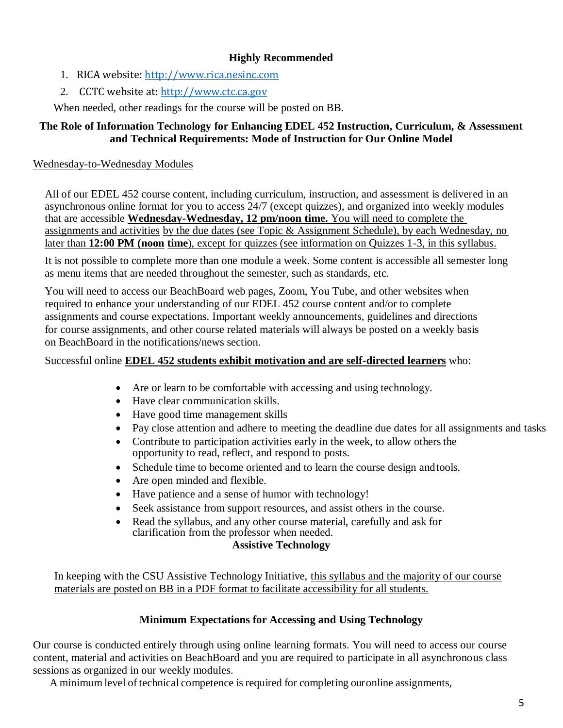### **Highly Recommended**

- 1. RICA website: [http://www.rica.nesinc.com](http://www.rica.nesinc.com/)
- 2. CCTC website at: [http://www.ctc.ca.gov](http://www.ctc.ca.gov/)

When needed, other readings for the course will be posted on BB.

### **The Role of Information Technology for Enhancing EDEL 452 Instruction, Curriculum, & Assessment and Technical Requirements: Mode of Instruction for Our Online Model**

### Wednesday-to-Wednesday Modules

All of our EDEL 452 course content, including curriculum, instruction, and assessment is delivered in an asynchronous online format for you to access 24/7 (except quizzes), and organized into weekly modules that are accessible **Wednesday-Wednesday, 12 pm/noon time.** You will need to complete the assignments and activities by the due dates (see Topic & Assignment Schedule), by each Wednesday, no later than **12:00 PM (noon time**), except for quizzes (see information on Quizzes 1-3, in this syllabus.

It is not possible to complete more than one module a week. Some content is accessible all semester long as menu items that are needed throughout the semester, such as standards, etc.

You will need to access our BeachBoard web pages, Zoom, You Tube, and other websites when required to enhance your understanding of our EDEL 452 course content and/or to complete assignments and course expectations. Important weekly announcements, guidelines and directions for course assignments, and other course related materials will always be posted on a weekly basis on BeachBoard in the notifications/news section.

### Successful online **EDEL 452 students exhibit motivation and are self-directed learners** who:

- Are or learn to be comfortable with accessing and using technology.
- Have clear communication skills.
- Have good time management skills
- Pay close attention and adhere to meeting the deadline due dates for all assignments and tasks
- Contribute to participation activities early in the week, to allow others the opportunity to read, reflect, and respond to posts.
- Schedule time to become oriented and to learn the course design and tools.
- Are open minded and flexible.
- Have patience and a sense of humor with technology!
- Seek assistance from support resources, and assist others in the course.
- Read the syllabus, and any other course material, carefully and ask for clarification from the professor when needed.

### **Assistive Technology**

In keeping with the CSU Assistive Technology Initiative, this syllabus and the majority of our course materials are posted on BB in a PDF format to facilitate accessibility for all students.

### **Minimum Expectations for Accessing and Using Technology**

Our course is conducted entirely through using online learning formats. You will need to access our course content, material and activities on BeachBoard and you are required to participate in all asynchronous class sessions as organized in our weekly modules.

A minimum level of technical competence is required for completing ouronline assignments,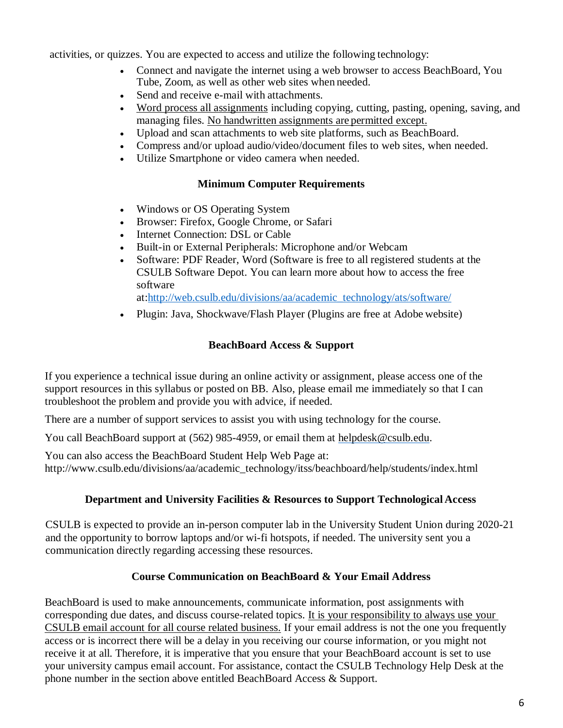activities, or quizzes. You are expected to access and utilize the following technology:

- Connect and navigate the internet using a web browser to access BeachBoard, You Tube, Zoom, as well as other web sites when needed.
- Send and receive e-mail with attachments.
- Word process all assignments including copying, cutting, pasting, opening, saving, and managing files. No handwritten assignments are permitted except.
- Upload and scan attachments to web site platforms, such as BeachBoard.
- Compress and/or upload audio/video/document files to web sites, when needed.
- Utilize Smartphone or video camera when needed.

### **Minimum Computer Requirements**

- Windows or OS Operating System
- Browser: Firefox, Google Chrome, or Safari
- Internet Connection: DSL or Cable
- Built-in or External Peripherals: Microphone and/or Webcam
- Software: PDF Reader, Word (Software is free to all registered students at the CSULB Software Depot. You can learn more about how to access the free software

at[:http://web.csulb.edu/divisions/aa/academic\\_technology/ats/software/](http://web.csulb.edu/divisions/aa/academic_technology/ats/software/)

• Plugin: Java, Shockwave/Flash Player (Plugins are free at Adobe website)

# **BeachBoard Access & Support**

If you experience a technical issue during an online activity or assignment, please access one of the support resources in this syllabus or posted on BB. Also, please email me immediately so that I can troubleshoot the problem and provide you with advice, if needed.

There are a number of support services to assist you with using technology for the course.

You call BeachBoard support at (562) 985-4959, or email them at [helpdesk@csulb.edu.](mailto:helpdesk@csulb.edu)

You can also access the BeachBoard Student Help Web Page at: [http://www.csulb.edu/divisions/aa/academic\\_technology/itss/beachboard/help/students/index.html](http://www.csulb.edu/divisions/aa/academic_technology/itss/beachboard/help/students/index.html)

# **Department and University Facilities & Resources to Support Technological Access**

CSULB is expected to provide an in-person computer lab in the University Student Union during 2020-21 and the opportunity to borrow laptops and/or wi-fi hotspots, if needed. The university sent you a communication directly regarding accessing these resources.

# **Course Communication on BeachBoard & Your Email Address**

BeachBoard is used to make announcements, communicate information, post assignments with corresponding due dates, and discuss course-related topics. It is your responsibility to always use your CSULB email account for all course related business. If your email address is not the one you frequently access or is incorrect there will be a delay in you receiving our course information, or you might not receive it at all. Therefore, it is imperative that you ensure that your BeachBoard account is set to use your university campus email account. For assistance, contact the CSULB Technology Help Desk at the phone number in the section above entitled BeachBoard Access & Support.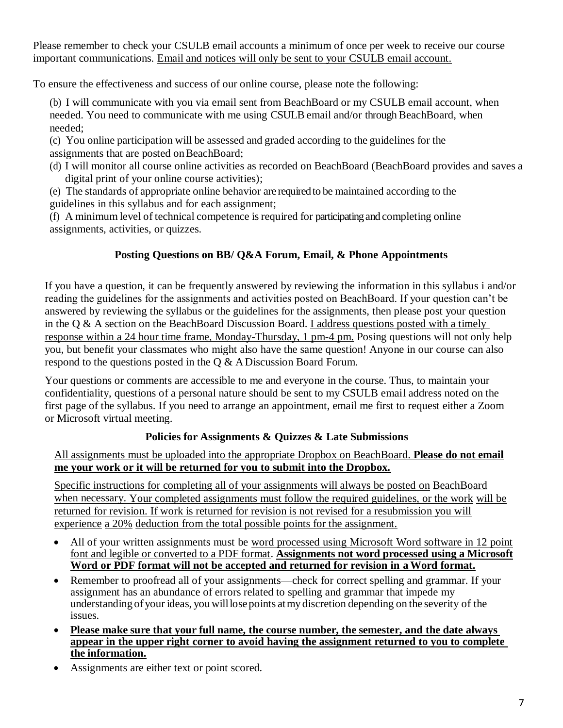Please remember to check your CSULB email accounts a minimum of once per week to receive our course important communications. Email and notices will only be sent to your CSULB email account.

To ensure the effectiveness and success of our online course, please note the following:

(b) I will communicate with you via email sent from BeachBoard or my CSULB email account, when needed. You need to communicate with me using CSULB email and/or through BeachBoard, when needed;

(c) You online participation will be assessed and graded according to the guidelines for the assignments that are posted on BeachBoard;

- (d) I will monitor all course online activities as recorded on BeachBoard (BeachBoard provides and saves a digital print of your online course activities);
- (e) The standards of appropriate online behavior are requiredto be maintained according to the guidelines in this syllabus and for each assignment;

(f) A minimum level of technical competence is required for participating and completing online assignments, activities, or quizzes.

# **Posting Questions on BB/ Q&A Forum, Email, & Phone Appointments**

If you have a question, it can be frequently answered by reviewing the information in this syllabus i and/or reading the guidelines for the assignments and activities posted on BeachBoard. If your question can't be answered by reviewing the syllabus or the guidelines for the assignments, then please post your question in the Q & A section on the BeachBoard Discussion Board. I address questions posted with a timely response within a 24 hour time frame, Monday-Thursday, 1 pm-4 pm. Posing questions will not only help you, but benefit your classmates who might also have the same question! Anyone in our course can also respond to the questions posted in the Q & ADiscussion Board Forum.

Your questions or comments are accessible to me and everyone in the course. Thus, to maintain your confidentiality, questions of a personal nature should be sent to my CSULB email address noted on the first page of the syllabus. If you need to arrange an appointment, email me first to request either a Zoom or Microsoft virtual meeting.

# **Policies for Assignments & Quizzes & Late Submissions**

All assignments must be uploaded into the appropriate Dropbox on BeachBoard. **Please do not email me your work or it will be returned for you to submit into the Dropbox.**

Specific instructions for completing all of your assignments will always be posted on BeachBoard when necessary. Your completed assignments must follow the required guidelines, or the work will be returned for revision. If work is returned for revision is not revised for a resubmission you will experience a 20% deduction from the total possible points for the assignment.

- All of your written assignments must be word processed using Microsoft Word software in 12 point font and legible or converted to a PDF format. **Assignments not word processed using a Microsoft Word or PDF format will not be accepted and returned for revision in a Word format.**
- Remember to proofread all of your assignments—check for correct spelling and grammar. If your assignment has an abundance of errors related to spelling and grammar that impede my understanding of your ideas, youwilllosepoints atmy discretion depending on the severity of the issues.
- **Please make sure that your full name, the course number, the semester, and the date always appear in the upper right corner to avoid having the assignment returned to you to complete the information.**
- Assignments are either text or point scored.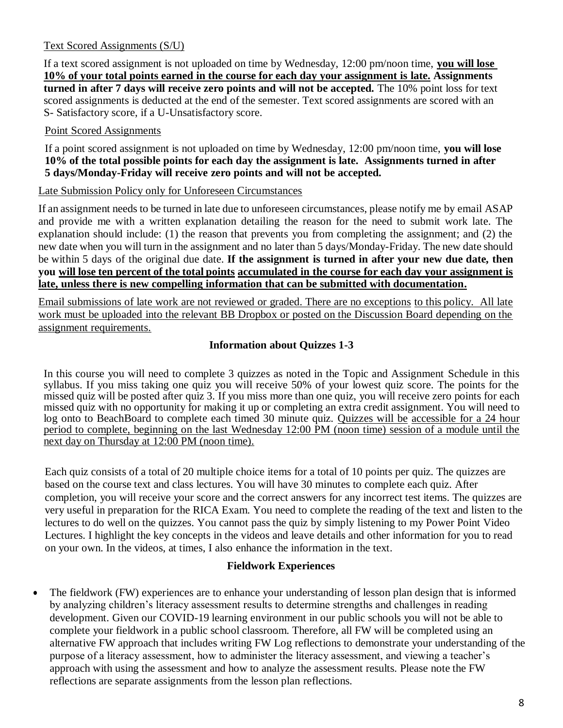#### Text Scored Assignments (S/U)

If a text scored assignment is not uploaded on time by Wednesday, 12:00 pm/noon time, **you will lose 10% of your total points earned in the course for each day your assignment is late. Assignments turned in after 7 days will receive zero points and will not be accepted.** The 10% point loss for text scored assignments is deducted at the end of the semester. Text scored assignments are scored with an S- Satisfactory score, if a U-Unsatisfactory score.

#### Point Scored Assignments

If a point scored assignment is not uploaded on time by Wednesday, 12:00 pm/noon time, **you will lose 10% of the total possible points for each day the assignment is late. Assignments turned in after 5 days/Monday-Friday will receive zero points and will not be accepted.** 

#### Late Submission Policy only for Unforeseen Circumstances

If an assignment needs to be turned in late due to unforeseen circumstances, please notify me by email ASAP and provide me with a written explanation detailing the reason for the need to submit work late. The explanation should include: (1) the reason that prevents you from completing the assignment; and (2) the new date when you will turn in the assignment and no later than 5 days/Monday-Friday. The new date should be within 5 days of the original due date. **If the assignment is turned in after your new due date, then you will lose ten percent of the total points accumulated in the course for each day your assignment is late, unless there is new compelling information that can be submitted with documentation.**

Email submissions of late work are not reviewed or graded. There are no exceptions to this policy. All late work must be uploaded into the relevant BB Dropbox or posted on the Discussion Board depending on the assignment requirements.

#### **Information about Quizzes 1-3**

In this course you will need to complete 3 quizzes as noted in the Topic and Assignment Schedule in this syllabus. If you miss taking one quiz you will receive 50% of your lowest quiz score. The points for the missed quiz will be posted after quiz 3. If you miss more than one quiz, you will receive zero points for each missed quiz with no opportunity for making it up or completing an extra credit assignment. You will need to log onto to BeachBoard to complete each timed 30 minute quiz. Quizzes will be accessible for a 24 hour period to complete, beginning on the last Wednesday 12:00 PM (noon time) session of a module until the next day on Thursday at 12:00 PM (noon time).

Each quiz consists of a total of 20 multiple choice items for a total of 10 points per quiz. The quizzes are based on the course text and class lectures. You will have 30 minutes to complete each quiz. After completion, you will receive your score and the correct answers for any incorrect test items. The quizzes are very useful in preparation for the RICA Exam. You need to complete the reading of the text and listen to the lectures to do well on the quizzes. You cannot pass the quiz by simply listening to my Power Point Video Lectures. I highlight the key concepts in the videos and leave details and other information for you to read on your own. In the videos, at times, I also enhance the information in the text.

#### **Fieldwork Experiences**

• The fieldwork (FW) experiences are to enhance your understanding of lesson plan design that is informed by analyzing children's literacy assessment results to determine strengths and challenges in reading development. Given our COVID-19 learning environment in our public schools you will not be able to complete your fieldwork in a public school classroom. Therefore, all FW will be completed using an alternative FW approach that includes writing FW Log reflections to demonstrate your understanding of the purpose of a literacy assessment, how to administer the literacy assessment, and viewing a teacher's approach with using the assessment and how to analyze the assessment results. Please note the FW reflections are separate assignments from the lesson plan reflections.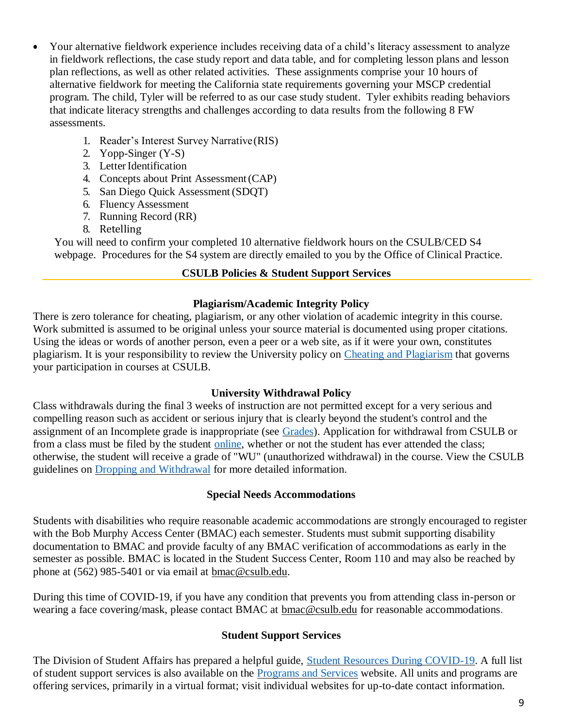- Your alternative fieldwork experience includes receiving data of a child's literacy assessment to analyze in fieldwork reflections, the case study report and data table, and for completing lesson plans and lesson plan reflections, as well as other related activities. These assignments comprise your 10 hours of alternative fieldwork for meeting the California state requirements governing your MSCP credential program. The child, Tyler will be referred to as our case study student. Tyler exhibits reading behaviors that indicate literacy strengths and challenges according to data results from the following 8 FW assessments.
	- 1. Reader's Interest Survey Narrative(RIS)
	- 2. Yopp-Singer (Y-S)
	- 3. Letter Identification
	- 4. Concepts about Print Assessment(CAP)
	- 5. San Diego Quick Assessment (SDQT)
	- 6. Fluency Assessment
	- 7. Running Record (RR)
	- 8. Retelling

You will need to confirm your completed 10 alternative fieldwork hours on the CSULB/CED S4 webpage. Procedures for the S4 system are directly emailed to you by the Office of Clinical Practice.

### **CSULB Policies & Student Support Services**

### **Plagiarism/Academic Integrity Policy**

There is zero tolerance for cheating, plagiarism, or any other violation of academic integrity in this course. Work submitted is assumed to be original unless your source material is documented using proper citations. Using the ideas or words of another person, even a peer or a web site, as if it were your own, constitutes plagiarism. It is your responsibility to review the University policy on [Cheating and Plagiarism](http://catalog.csulb.edu/content.php?catoid=5&navoid=369&cheating-and-plagiarism) that governs your participation in courses at CSULB.

### **University Withdrawal Policy**

Class withdrawals during the final 3 weeks of instruction are not permitted except for a very serious and compelling reason such as accident or serious injury that is clearly beyond the student's control and the assignment of an Incomplete grade is inappropriate (see [Grades\)](http://www.csulb.edu/depts/enrollment/student_academic_records/grading.html). Application for withdrawal from CSULB or from a class must be filed by the student [online,](https://www.csulb.edu/student-records/dropping-and-withdrawing) whether or not the student has ever attended the class; otherwise, the student will receive a grade of "WU" (unauthorized withdrawal) in the course. View the CSULB guidelines on [Dropping and Withdrawal](https://www.csulb.edu/student-records/dropping-and-withdrawing#%3A~%3Atext%3DPolicy%2Cafter%20separation%20from%20the%20university) for more detailed information.

### **Special Needs Accommodations**

Students with disabilities who require reasonable academic accommodations are strongly encouraged to register with the Bob Murphy Access Center (BMAC) each semester. Students must submit supporting disability documentation to BMAC and provide faculty of any BMAC verification of accommodations as early in the semester as possible. BMAC is located in the Student Success Center, Room 110 and may also be reached by phone at (562) 985-5401 or via email at [bmac@csulb.edu.](mailto:bmac@csulb.edu)

During this time of COVID-19, if you have any condition that prevents you from attending class in-person or wearing a face covering/mask, please contact BMAC at [bmac@csulb.edu](mailto:bmac@csulb.edu) for reasonable accommodations.

#### **Student Support Services**

The Division of Student Affairs has prepared a helpful guide, [Student Resources During COVID-19.](https://rb.gy/ql7w8j) A full list of student support services is also available on the [Programs and Services](http://web.csulb.edu/divisions/students/programs.html) website. All units and programs are offering services, primarily in a virtual format; visit individual websites for up-to-date contact information.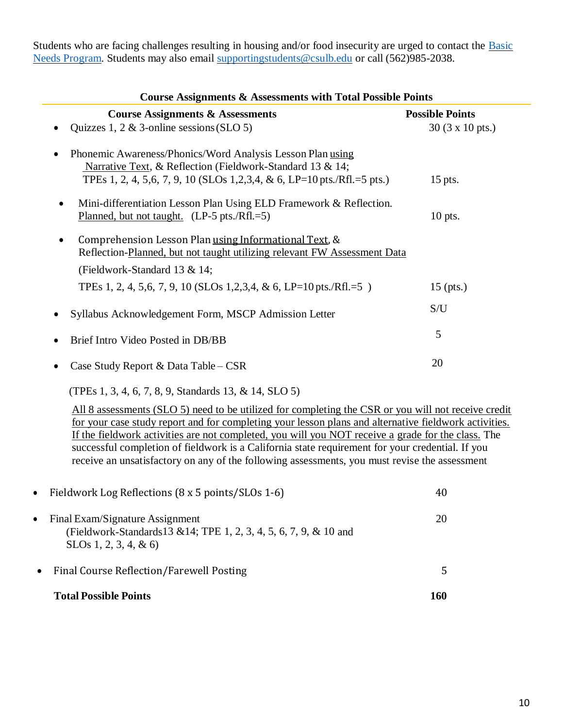Students who are facing challenges resulting in housing and/or food insecurity are urged to contact the [Basic](http://web.csulb.edu/divisions/students/basic_needs_program/index.html) [Needs Program.](http://web.csulb.edu/divisions/students/basic_needs_program/index.html) Students may also email [supportingstudents@csulb.edu](mailto:supportingstudents@csulb.edu) or call (562)985-2038.

| <b>Course Assignments &amp; Assessments with Total Possible Points</b>                                                                                                                                  |                                |  |
|---------------------------------------------------------------------------------------------------------------------------------------------------------------------------------------------------------|--------------------------------|--|
| <b>Course Assignments &amp; Assessments</b>                                                                                                                                                             | <b>Possible Points</b>         |  |
| Quizzes 1, 2 $\&$ 3-online sessions (SLO 5)                                                                                                                                                             | $30(3 \times 10 \text{ pts.})$ |  |
| Phonemic Awareness/Phonics/Word Analysis Lesson Plan using<br>Narrative Text, & Reflection (Fieldwork-Standard 13 & 14;<br>TPEs 1, 2, 4, 5,6, 7, 9, 10 (SLOs 1, 2, 3, 4, & 6, LP=10 pts./Rfl. = 5 pts.) | $15$ pts.                      |  |
| Mini-differentiation Lesson Plan Using ELD Framework & Reflection.<br>Planned, but not taught. $(LP-5)$ pts./Rfl.=5)                                                                                    | 10 pts.                        |  |
| Comprehension Lesson Plan using Informational Text, &<br>Reflection-Planned, but not taught utilizing relevant FW Assessment Data<br>(Fieldwork-Standard 13 $&$ 14;                                     |                                |  |
| TPEs 1, 2, 4, 5,6, 7, 9, 10 (SLOs 1,2,3,4, & 6, LP=10 pts./Rfl.=5)                                                                                                                                      | $15$ (pts.)                    |  |
| Syllabus Acknowledgement Form, MSCP Admission Letter                                                                                                                                                    | S/U                            |  |
| Brief Intro Video Posted in DB/BB                                                                                                                                                                       | 5                              |  |
| Case Study Report & Data Table – $CSR$                                                                                                                                                                  | 20                             |  |

(TPEs 1, 3, 4, 6, 7, 8, 9, Standards 13, & 14, SLO 5)

All 8 assessments (SLO 5) need to be utilized for completing the CSR or you will not receive credit for your case study report and for completing your lesson plans and alternative fieldwork activities. If the fieldwork activities are not completed, you will you NOT receive a grade for the class. The successful completion of fieldwork is a California state requirement for your credential. If you receive an unsatisfactory on any of the following assessments, you must revise the assessment

|           | <b>Total Possible Points</b>                                                                                                  | 160 |
|-----------|-------------------------------------------------------------------------------------------------------------------------------|-----|
| $\bullet$ | Final Course Reflection/Farewell Posting                                                                                      | 5   |
| $\bullet$ | Final Exam/Signature Assignment<br>(Fieldwork-Standards13 & 14; TPE 1, 2, 3, 4, 5, 6, 7, 9, & 10 and<br>SLOs 1, 2, 3, 4, & 6) | 20  |
| $\bullet$ | Fieldwork Log Reflections (8 x 5 points/SLOs 1-6)                                                                             | 40  |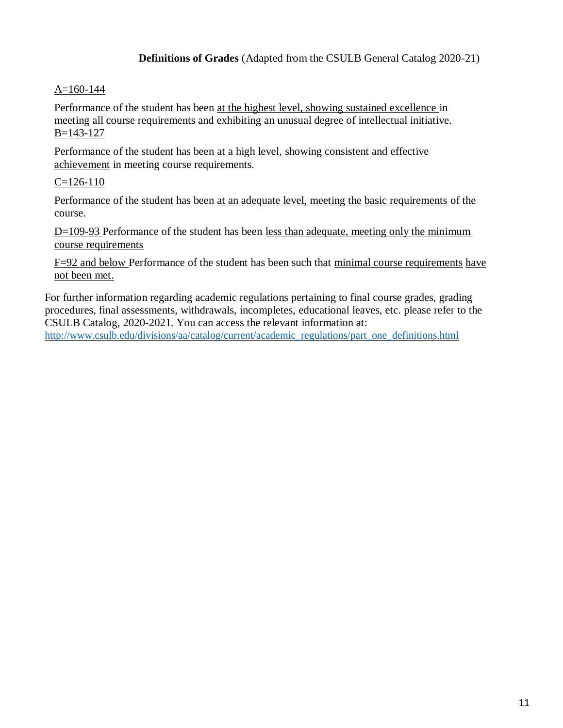**Definitions of Grades** (Adapted from the CSULB General Catalog 2020-21)

### A=160-144

Performance of the student has been at the highest level, showing sustained excellence in meeting all course requirements and exhibiting an unusual degree of intellectual initiative. B=143-127

Performance of the student has been at a high level, showing consistent and effective achievement in meeting course requirements.

### $C=126-110$

Performance of the student has been at an adequate level, meeting the basic requirements of the course.

 $D=109-93$  Performance of the student has been less than adequate, meeting only the minimum course requirements

F=92 and below Performance of the student has been such that minimal course requirements have not been met.

For further information regarding academic regulations pertaining to final course grades, grading procedures, final assessments, withdrawals, incompletes, educational leaves, etc. please refer to the CSULB Catalog, 2020-2021. You can access the relevant information at:

[http://www.csulb.edu/divisions/aa/catalog/current/academic\\_regulations/part\\_one\\_definitions.html](http://www.csulb.edu/divisions/aa/catalog/current/academic_regulations/part_one_definitions.html)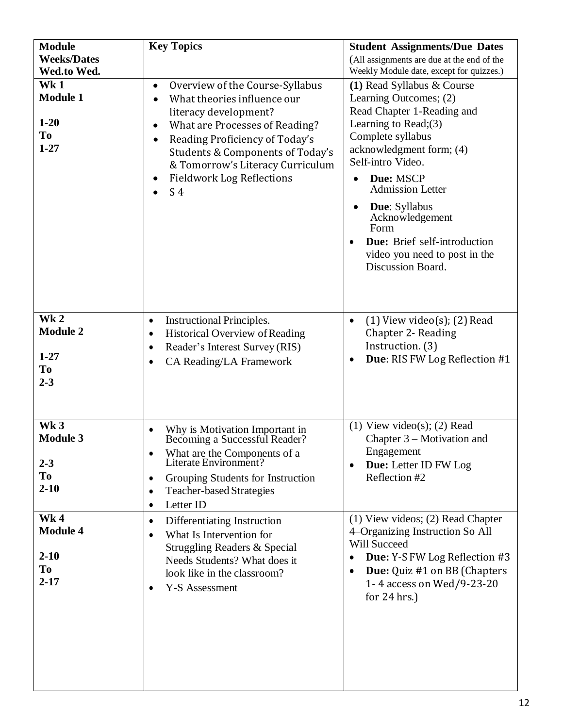| <b>Module</b><br><b>Weeks/Dates</b><br>Wed.to Wed.              | <b>Key Topics</b>                                                                                                                                                                                                                                                                                                   | <b>Student Assignments/Due Dates</b><br>(All assignments are due at the end of the<br>Weekly Module date, except for quizzes.)                                                                                                                                                                                                                                                                |
|-----------------------------------------------------------------|---------------------------------------------------------------------------------------------------------------------------------------------------------------------------------------------------------------------------------------------------------------------------------------------------------------------|-----------------------------------------------------------------------------------------------------------------------------------------------------------------------------------------------------------------------------------------------------------------------------------------------------------------------------------------------------------------------------------------------|
| Wk1<br><b>Module 1</b><br>$1 - 20$<br><b>To</b><br>$1 - 27$     | Overview of the Course-Syllabus<br>$\bullet$<br>What theories influence our<br>literacy development?<br>What are Processes of Reading?<br>Reading Proficiency of Today's<br>$\bullet$<br>Students & Components of Today's<br>& Tomorrow's Literacy Curriculum<br><b>Fieldwork Log Reflections</b><br>S <sub>4</sub> | (1) Read Syllabus & Course<br>Learning Outcomes; (2)<br>Read Chapter 1-Reading and<br>Learning to $Read;(3)$<br>Complete syllabus<br>acknowledgment form; (4)<br>Self-intro Video.<br>Due: MSCP<br>$\bullet$<br><b>Admission Letter</b><br><b>Due:</b> Syllabus<br>$\bullet$<br>Acknowledgement<br>Form<br>Due: Brief self-introduction<br>video you need to post in the<br>Discussion Board. |
| Wk <sub>2</sub><br><b>Module 2</b><br>$1 - 27$<br>To<br>$2 - 3$ | <b>Instructional Principles.</b><br>$\bullet$<br><b>Historical Overview of Reading</b><br>٠<br>Reader's Interest Survey (RIS)<br>$\bullet$<br>CA Reading/LA Framework<br>$\bullet$                                                                                                                                  | $(1)$ View video $(s)$ ; $(2)$ Read<br>$\bullet$<br>Chapter 2- Reading<br>Instruction. (3)<br>Due: RIS FW Log Reflection #1                                                                                                                                                                                                                                                                   |
| Wk <sub>3</sub><br><b>Module 3</b><br>$2 - 3$<br>To<br>$2 - 10$ | Why is Motivation Important in<br>Becoming a Successful Reader?<br>What are the Components of a<br>Literate Environment?<br>$\bullet$<br>Grouping Students for Instruction<br>٠<br><b>Teacher-based Strategies</b><br>٠<br>Letter ID<br>٠                                                                           | $(1)$ View video(s); (2) Read<br>Chapter $3$ – Motivation and<br>Engagement<br>Due: Letter ID FW Log<br>Reflection #2                                                                                                                                                                                                                                                                         |
| Wk4<br><b>Module 4</b><br>$2 - 10$<br><b>To</b><br>$2 - 17$     | Differentiating Instruction<br>$\bullet$<br>What Is Intervention for<br>$\bullet$<br><b>Struggling Readers &amp; Special</b><br>Needs Students? What does it<br>look like in the classroom?<br><b>Y-S Assessment</b>                                                                                                | $(1)$ View videos; $(2)$ Read Chapter<br>4–Organizing Instruction So All<br>Will Succeed<br>Due: Y-S FW Log Reflection #3<br>$\bullet$<br><b>Due:</b> Quiz #1 on BB (Chapters<br>1-4 access on Wed/9-23-20<br>for $24$ hrs.)                                                                                                                                                                  |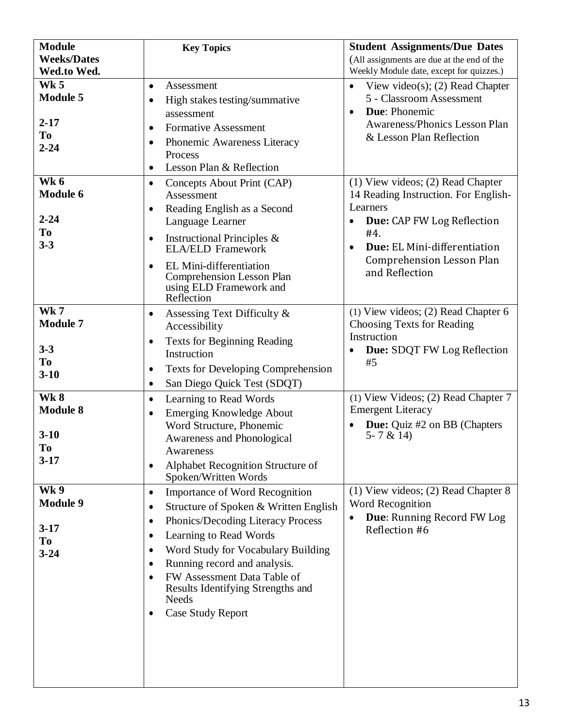| <b>Module</b>      | <b>Key Topics</b>                                           | <b>Student Assignments/Due Dates</b>       |
|--------------------|-------------------------------------------------------------|--------------------------------------------|
| <b>Weeks/Dates</b> |                                                             | (All assignments are due at the end of the |
| Wed.to Wed.        |                                                             | Weekly Module date, except for quizzes.)   |
| <b>Wk 5</b>        | Assessment<br>$\bullet$                                     | View video(s); $(2)$ Read Chapter          |
| <b>Module 5</b>    | High stakes testing/summative<br>$\bullet$                  | 5 - Classroom Assessment                   |
|                    | assessment                                                  | Due: Phonemic<br>$\bullet$                 |
| $2 - 17$           | <b>Formative Assessment</b><br>$\bullet$                    | Awareness/Phonics Lesson Plan              |
| To                 | Phonemic Awareness Literacy<br>٠                            | & Lesson Plan Reflection                   |
| $2 - 24$           | Process                                                     |                                            |
|                    | Lesson Plan & Reflection<br>$\bullet$                       |                                            |
| Wk 6               |                                                             | $(1)$ View videos; $(2)$ Read Chapter      |
| <b>Module 6</b>    | Concepts About Print (CAP)<br>$\bullet$<br>Assessment       | 14 Reading Instruction. For English-       |
|                    |                                                             | Learners                                   |
| $2 - 24$           | Reading English as a Second<br>٠<br>Language Learner        | <b>Due:</b> CAP FW Log Reflection          |
| To                 |                                                             | #4.                                        |
| $3 - 3$            | Instructional Principles &<br>$\bullet$                     | Due: EL Mini-differentiation               |
|                    | <b>ELA/ELD Framework</b>                                    | <b>Comprehension Lesson Plan</b>           |
|                    | EL Mini-differentiation<br>$\bullet$                        | and Reflection                             |
|                    | <b>Comprehension Lesson Plan</b><br>using ELD Framework and |                                            |
|                    | Reflection                                                  |                                            |
| <b>Wk7</b>         | Assessing Text Difficulty &<br>٠                            | (1) View videos; (2) Read Chapter 6        |
| <b>Module 7</b>    | Accessibility                                               | Choosing Texts for Reading                 |
|                    |                                                             | Instruction                                |
| $3 - 3$            | <b>Texts for Beginning Reading</b><br>٠<br>Instruction      | <b>Due:</b> SDQT FW Log Reflection         |
| <b>To</b>          |                                                             | #5                                         |
| $3 - 10$           | <b>Texts for Developing Comprehension</b><br>٠              |                                            |
|                    | San Diego Quick Test (SDQT)<br>٠                            |                                            |
| <b>Wk8</b>         | Learning to Read Words<br>$\bullet$                         | (1) View Videos; (2) Read Chapter 7        |
| <b>Module 8</b>    | Emerging Knowledge About<br>٠                               | <b>Emergent Literacy</b>                   |
|                    | Word Structure, Phonemic                                    | <b>Due:</b> Quiz #2 on BB (Chapters        |
| $3 - 10$           | Awareness and Phonological                                  | 5 - 7 & 14)                                |
| To                 | Awareness                                                   |                                            |
| $3-17$             | Alphabet Recognition Structure of<br>٠                      |                                            |
|                    | Spoken/Written Words                                        |                                            |
| <b>Wk9</b>         | <b>Importance of Word Recognition</b><br>$\bullet$          | (1) View videos; (2) Read Chapter 8        |
| <b>Module 9</b>    | Structure of Spoken & Written English<br>٠                  | Word Recognition                           |
|                    | Phonics/Decoding Literacy Process<br>٠                      | Due: Running Record FW Log                 |
| $3-17$             | Learning to Read Words<br>٠                                 | Reflection #6                              |
| <b>To</b>          | Word Study for Vocabulary Building<br>٠                     |                                            |
| $3 - 24$           | Running record and analysis.<br>٠                           |                                            |
|                    | FW Assessment Data Table of<br>$\bullet$                    |                                            |
|                    | Results Identifying Strengths and                           |                                            |
|                    | <b>Needs</b>                                                |                                            |
|                    | <b>Case Study Report</b><br>٠                               |                                            |
|                    |                                                             |                                            |
|                    |                                                             |                                            |
|                    |                                                             |                                            |
|                    |                                                             |                                            |
|                    |                                                             |                                            |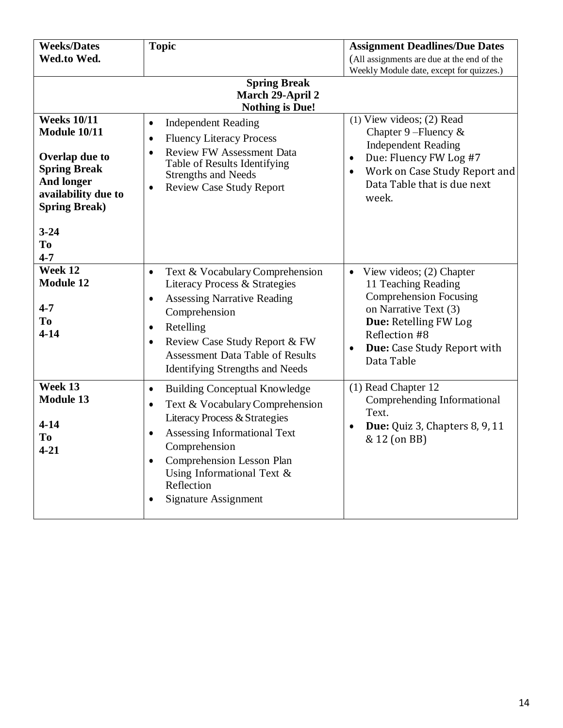| <b>Weeks/Dates</b>                                                                                                                               | <b>Topic</b>                                                                                                                                                                                                                                                                                                          | <b>Assignment Deadlines/Due Dates</b>                                                                                                                                                                                      |  |
|--------------------------------------------------------------------------------------------------------------------------------------------------|-----------------------------------------------------------------------------------------------------------------------------------------------------------------------------------------------------------------------------------------------------------------------------------------------------------------------|----------------------------------------------------------------------------------------------------------------------------------------------------------------------------------------------------------------------------|--|
| Wed.to Wed.                                                                                                                                      |                                                                                                                                                                                                                                                                                                                       | (All assignments are due at the end of the                                                                                                                                                                                 |  |
|                                                                                                                                                  |                                                                                                                                                                                                                                                                                                                       | Weekly Module date, except for quizzes.)                                                                                                                                                                                   |  |
| <b>Spring Break</b><br>March 29-April 2<br><b>Nothing is Due!</b>                                                                                |                                                                                                                                                                                                                                                                                                                       |                                                                                                                                                                                                                            |  |
| <b>Weeks 10/11</b><br>Module 10/11<br>Overlap due to<br><b>Spring Break</b><br><b>And longer</b><br>availability due to<br><b>Spring Break</b> ) | <b>Independent Reading</b><br>$\bullet$<br><b>Fluency Literacy Process</b><br>$\bullet$<br><b>Review FW Assessment Data</b><br>$\bullet$<br>Table of Results Identifying<br><b>Strengths and Needs</b><br><b>Review Case Study Report</b><br>$\bullet$                                                                | $(1)$ View videos; $(2)$ Read<br>Chapter 9-Fluency $\&$<br><b>Independent Reading</b><br>Due: Fluency FW Log #7<br>$\bullet$<br>Work on Case Study Report and<br>$\bullet$<br>Data Table that is due next<br>week.         |  |
| $3 - 24$<br><b>To</b><br>$4 - 7$                                                                                                                 |                                                                                                                                                                                                                                                                                                                       |                                                                                                                                                                                                                            |  |
| Week 12<br><b>Module 12</b><br>$4 - 7$<br>T <sub>0</sub><br>$4 - 14$                                                                             | Text & Vocabulary Comprehension<br>$\bullet$<br>Literacy Process & Strategies<br><b>Assessing Narrative Reading</b><br>$\bullet$<br>Comprehension<br>Retelling<br>$\bullet$<br>Review Case Study Report & FW<br>$\bullet$<br><b>Assessment Data Table of Results</b><br><b>Identifying Strengths and Needs</b>        | View videos; (2) Chapter<br>$\bullet$<br>11 Teaching Reading<br><b>Comprehension Focusing</b><br>on Narrative Text (3)<br>Due: Retelling FW Log<br>Reflection #8<br>Due: Case Study Report with<br>$\bullet$<br>Data Table |  |
| Week 13<br><b>Module 13</b><br>$4 - 14$<br>T <sub>0</sub><br>$4 - 21$                                                                            | <b>Building Conceptual Knowledge</b><br>$\bullet$<br>Text & Vocabulary Comprehension<br>$\bullet$<br>Literacy Process & Strategies<br>Assessing Informational Text<br>$\bullet$<br>Comprehension<br>Comprehension Lesson Plan<br>$\bullet$<br>Using Informational Text &<br>Reflection<br><b>Signature Assignment</b> | (1) Read Chapter 12<br>Comprehending Informational<br>Text.<br>Due: Quiz 3, Chapters 8, 9, 11<br>$\bullet$<br>& 12 (on BB)                                                                                                 |  |